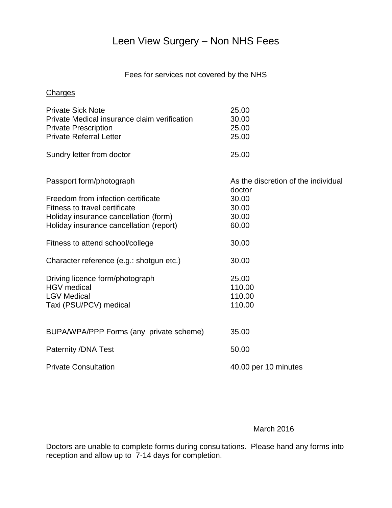# Leen View Surgery – Non NHS Fees

## Fees for services not covered by the NHS

#### **Charges**

| <b>Private Sick Note</b>                     | 25.00                               |
|----------------------------------------------|-------------------------------------|
| Private Medical insurance claim verification | 30.00                               |
| <b>Private Prescription</b>                  | 25.00                               |
| <b>Private Referral Letter</b>               | 25.00                               |
| Sundry letter from doctor                    | 25.00                               |
| Passport form/photograph                     | As the discretion of the individual |
|                                              | doctor                              |
| Freedom from infection certificate           | 30.00                               |
| Fitness to travel certificate                | 30.00                               |
| Holiday insurance cancellation (form)        | 30.00                               |
| Holiday insurance cancellation (report)      | 60.00                               |
| Fitness to attend school/college             | 30.00                               |
| Character reference (e.g.: shotgun etc.)     | 30.00                               |
| Driving licence form/photograph              | 25.00                               |
| <b>HGV</b> medical                           | 110.00                              |
| <b>LGV Medical</b>                           | 110.00                              |
| Taxi (PSU/PCV) medical                       | 110.00                              |
|                                              |                                     |
| BUPA/WPA/PPP Forms (any private scheme)      | 35.00                               |
| Paternity /DNA Test                          | 50.00                               |
| <b>Private Consultation</b>                  | 40.00 per 10 minutes                |

#### March 2016

Doctors are unable to complete forms during consultations. Please hand any forms into reception and allow up to 7-14 days for completion.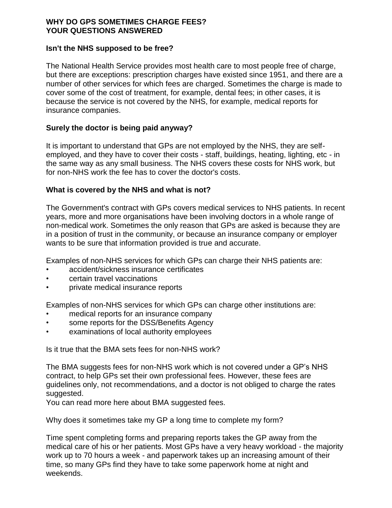#### **WHY DO GPS SOMETIMES CHARGE FEES? YOUR QUESTIONS ANSWERED**

#### **Isn't the NHS supposed to be free?**

The National Health Service provides most health care to most people free of charge, but there are exceptions: prescription charges have existed since 1951, and there are a number of other services for which fees are charged. Sometimes the charge is made to cover some of the cost of treatment, for example, dental fees; in other cases, it is because the service is not covered by the NHS, for example, medical reports for insurance companies.

#### **Surely the doctor is being paid anyway?**

It is important to understand that GPs are not employed by the NHS, they are selfemployed, and they have to cover their costs - staff, buildings, heating, lighting, etc - in the same way as any small business. The NHS covers these costs for NHS work, but for non-NHS work the fee has to cover the doctor's costs.

#### **What is covered by the NHS and what is not?**

The Government's contract with GPs covers medical services to NHS patients. In recent years, more and more organisations have been involving doctors in a whole range of non-medical work. Sometimes the only reason that GPs are asked is because they are in a position of trust in the community, or because an insurance company or employer wants to be sure that information provided is true and accurate.

Examples of non-NHS services for which GPs can charge their NHS patients are:

- accident/sickness insurance certificates
- certain travel vaccinations
- private medical insurance reports

Examples of non-NHS services for which GPs can charge other institutions are:

- medical reports for an insurance company
- some reports for the DSS/Benefits Agency
- examinations of local authority employees

Is it true that the BMA sets fees for non-NHS work?

The BMA suggests fees for non-NHS work which is not covered under a GP's NHS contract, to help GPs set their own professional fees. However, these fees are guidelines only, not recommendations, and a doctor is not obliged to charge the rates suggested.

You can read more here about BMA suggested fees.

Why does it sometimes take my GP a long time to complete my form?

Time spent completing forms and preparing reports takes the GP away from the medical care of his or her patients. Most GPs have a very heavy workload - the majority work up to 70 hours a week - and paperwork takes up an increasing amount of their time, so many GPs find they have to take some paperwork home at night and weekends.